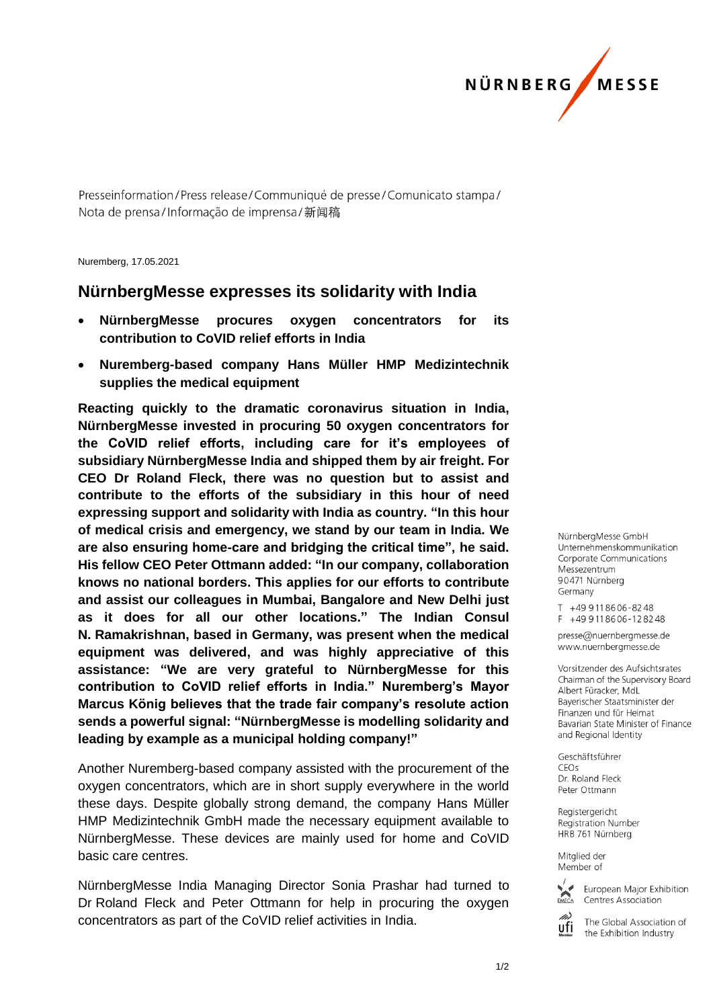

Presseinformation/Press release/Communiqué de presse/Comunicato stampa/ Nota de prensa/Informação de imprensa/新闻稿

Nuremberg, 17.05.2021

## **NürnbergMesse expresses its solidarity with India**

- **NürnbergMesse procures oxygen concentrators for its contribution to CoVID relief efforts in India**
- **Nuremberg-based company Hans Müller HMP Medizintechnik supplies the medical equipment**

**Reacting quickly to the dramatic coronavirus situation in India, NürnbergMesse invested in procuring 50 oxygen concentrators for the CoVID relief efforts, including care for it's employees of subsidiary NürnbergMesse India and shipped them by air freight. For CEO Dr Roland Fleck, there was no question but to assist and contribute to the efforts of the subsidiary in this hour of need expressing support and solidarity with India as country. "In this hour of medical crisis and emergency, we stand by our team in India. We are also ensuring home-care and bridging the critical time", he said. His fellow CEO Peter Ottmann added: "In our company, collaboration knows no national borders. This applies for our efforts to contribute and assist our colleagues in Mumbai, Bangalore and New Delhi just as it does for all our other locations." The Indian Consul N. Ramakrishnan, based in Germany, was present when the medical equipment was delivered, and was highly appreciative of this assistance: "We are very grateful to NürnbergMesse for this contribution to CoVID relief efforts in India." Nuremberg's Mayor Marcus König believes that the trade fair company's resolute action sends a powerful signal: "NürnbergMesse is modelling solidarity and leading by example as a municipal holding company!"**

Another Nuremberg-based company assisted with the procurement of the oxygen concentrators, which are in short supply everywhere in the world these days. Despite globally strong demand, the company Hans Müller HMP Medizintechnik GmbH made the necessary equipment available to NürnbergMesse. These devices are mainly used for home and CoVID basic care centres.

NürnbergMesse India Managing Director Sonia Prashar had turned to Dr Roland Fleck and Peter Ottmann for help in procuring the oxygen concentrators as part of the CoVID relief activities in India.

NürnberaMesse GmbH Unternehmenskommunikation Corporate Communications Messezentrum 90471 Nürnberg Germany

T +49 911 86 06 - 82 48  $F + 499118606 - 128248$ 

presse@nuernbergmesse.de www.nuernbergmesse.de

Vorsitzender des Aufsichtsrates Chairman of the Supervisory Board Albert Füracker, MdL Bayerischer Staatsminister der Finanzen und für Heimat Bavarian State Minister of Finance and Regional Identity

Geschäftsführer  $CFOs$ Dr. Roland Fleck Peter Ottmann

Registergericht Registration Number HRB 761 Nürnberg

Mitglied der Member of



European Major Exhibition Centres Association

The Global Association of ufi the Exhibition Industry